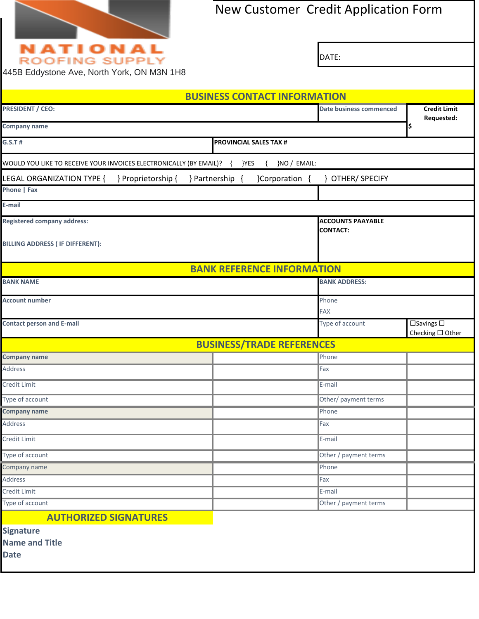

# New Customer Credit Application Form

DATE:

| <b>BUSINESS CONTACT INFORMATION</b>                                                            |                                |                             |  |
|------------------------------------------------------------------------------------------------|--------------------------------|-----------------------------|--|
| <b>PRESIDENT / CEO:</b>                                                                        | <b>Date business commenced</b> | <b>Credit Limit</b>         |  |
| <b>Company name</b>                                                                            |                                | Requested:<br>\$            |  |
| $G.S.T$ #<br><b>PROVINCIAL SALES TAX #</b>                                                     |                                |                             |  |
|                                                                                                |                                |                             |  |
| WOULD YOU LIKE TO RECEIVE YOUR INVOICES ELECTRONICALLY (BY EMAIL)? $\{$ }YES $\{$ }MO / EMAIL: |                                |                             |  |
| LEGAL ORGANIZATION TYPE { } Proprietorship { } Partnership { } Corporation { } OTHER/ SPECIFY  |                                |                             |  |
| Phone   Fax                                                                                    |                                |                             |  |
| E-mail                                                                                         |                                |                             |  |
| <b>Registered company address:</b>                                                             | <b>ACCOUNTS PAAYABLE</b>       |                             |  |
|                                                                                                | <b>CONTACT:</b>                |                             |  |
| <b>BILLING ADDRESS ( IF DIFFERENT):</b>                                                        |                                |                             |  |
|                                                                                                |                                |                             |  |
| <b>BANK REFERENCE INFORMATION</b>                                                              |                                |                             |  |
| <b>BANK NAME</b>                                                                               | <b>BANK ADDRESS:</b>           |                             |  |
| <b>Account number</b>                                                                          | Phone                          |                             |  |
|                                                                                                | <b>FAX</b>                     |                             |  |
| <b>Contact person and E-mail</b>                                                               | Type of account                | $\square$ Savings $\square$ |  |
| <b>BUSINESS/TRADE REFERENCES</b>                                                               |                                | Checking $\Box$ Other       |  |
| <b>Company name</b>                                                                            | Phone                          |                             |  |
| Address                                                                                        | Fax                            |                             |  |
| Credit Limit                                                                                   | E-mail                         |                             |  |
| Type of account                                                                                | Other/ payment terms           |                             |  |
| <b>Company name</b>                                                                            | Phone                          |                             |  |
| <b>Address</b>                                                                                 | $\mathsf{F}$ ax                |                             |  |
| Credit Limit                                                                                   | E-mail                         |                             |  |
|                                                                                                |                                |                             |  |
| Type of account                                                                                | Other / payment terms          |                             |  |
| Company name                                                                                   | Phone                          |                             |  |
| <b>Address</b><br>Credit Limit                                                                 | Fax<br>E-mail                  |                             |  |
| Type of account                                                                                | Other / payment terms          |                             |  |
|                                                                                                |                                |                             |  |
| <b>AUTHORIZED SIGNATURES</b><br><b>Signature</b>                                               |                                |                             |  |
| <b>Name and Title</b>                                                                          |                                |                             |  |
| <b>Date</b>                                                                                    |                                |                             |  |
|                                                                                                |                                |                             |  |